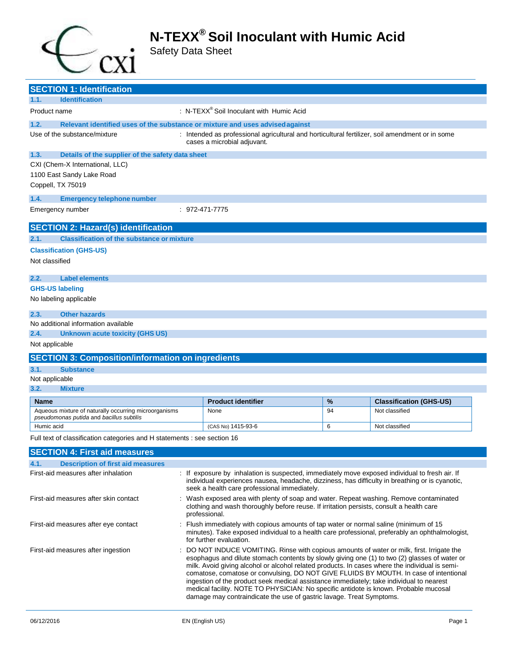

Safety Data Sheet

| <b>SECTION 1: Identification</b>                                                                  |                                                                                                                                                                                                                                                                                                                                                                                                                                                                                                                                                                          |                                                                                                                                                                                                                                                   |    |                                |
|---------------------------------------------------------------------------------------------------|--------------------------------------------------------------------------------------------------------------------------------------------------------------------------------------------------------------------------------------------------------------------------------------------------------------------------------------------------------------------------------------------------------------------------------------------------------------------------------------------------------------------------------------------------------------------------|---------------------------------------------------------------------------------------------------------------------------------------------------------------------------------------------------------------------------------------------------|----|--------------------------------|
| <b>Identification</b><br>1.1.                                                                     |                                                                                                                                                                                                                                                                                                                                                                                                                                                                                                                                                                          |                                                                                                                                                                                                                                                   |    |                                |
| Product name                                                                                      |                                                                                                                                                                                                                                                                                                                                                                                                                                                                                                                                                                          | : N-TEX $X^{\circledR}$ Soil Inoculant with Humic Acid                                                                                                                                                                                            |    |                                |
| Relevant identified uses of the substance or mixture and uses advised against<br>1.2.             |                                                                                                                                                                                                                                                                                                                                                                                                                                                                                                                                                                          |                                                                                                                                                                                                                                                   |    |                                |
| Use of the substance/mixture                                                                      |                                                                                                                                                                                                                                                                                                                                                                                                                                                                                                                                                                          | : Intended as professional agricultural and horticultural fertilizer, soil amendment or in some<br>cases a microbial adjuvant.                                                                                                                    |    |                                |
| 1.3.<br>Details of the supplier of the safety data sheet                                          |                                                                                                                                                                                                                                                                                                                                                                                                                                                                                                                                                                          |                                                                                                                                                                                                                                                   |    |                                |
| CXI (Chem-X International, LLC)                                                                   |                                                                                                                                                                                                                                                                                                                                                                                                                                                                                                                                                                          |                                                                                                                                                                                                                                                   |    |                                |
| 1100 East Sandy Lake Road                                                                         |                                                                                                                                                                                                                                                                                                                                                                                                                                                                                                                                                                          |                                                                                                                                                                                                                                                   |    |                                |
| Coppell, TX 75019                                                                                 |                                                                                                                                                                                                                                                                                                                                                                                                                                                                                                                                                                          |                                                                                                                                                                                                                                                   |    |                                |
| 1.4.<br><b>Emergency telephone number</b>                                                         |                                                                                                                                                                                                                                                                                                                                                                                                                                                                                                                                                                          |                                                                                                                                                                                                                                                   |    |                                |
| Emergency number                                                                                  |                                                                                                                                                                                                                                                                                                                                                                                                                                                                                                                                                                          | : 972-471-7775                                                                                                                                                                                                                                    |    |                                |
| <b>SECTION 2: Hazard(s) identification</b>                                                        |                                                                                                                                                                                                                                                                                                                                                                                                                                                                                                                                                                          |                                                                                                                                                                                                                                                   |    |                                |
| <b>Classification of the substance or mixture</b><br>2.1.                                         |                                                                                                                                                                                                                                                                                                                                                                                                                                                                                                                                                                          |                                                                                                                                                                                                                                                   |    |                                |
| <b>Classification (GHS-US)</b>                                                                    |                                                                                                                                                                                                                                                                                                                                                                                                                                                                                                                                                                          |                                                                                                                                                                                                                                                   |    |                                |
| Not classified                                                                                    |                                                                                                                                                                                                                                                                                                                                                                                                                                                                                                                                                                          |                                                                                                                                                                                                                                                   |    |                                |
| <b>Label elements</b><br>2.2.                                                                     |                                                                                                                                                                                                                                                                                                                                                                                                                                                                                                                                                                          |                                                                                                                                                                                                                                                   |    |                                |
| <b>GHS-US labeling</b>                                                                            |                                                                                                                                                                                                                                                                                                                                                                                                                                                                                                                                                                          |                                                                                                                                                                                                                                                   |    |                                |
| No labeling applicable                                                                            |                                                                                                                                                                                                                                                                                                                                                                                                                                                                                                                                                                          |                                                                                                                                                                                                                                                   |    |                                |
| 2.3.<br><b>Other hazards</b>                                                                      |                                                                                                                                                                                                                                                                                                                                                                                                                                                                                                                                                                          |                                                                                                                                                                                                                                                   |    |                                |
| No additional information available                                                               |                                                                                                                                                                                                                                                                                                                                                                                                                                                                                                                                                                          |                                                                                                                                                                                                                                                   |    |                                |
| 2.4.<br><b>Unknown acute toxicity (GHS US)</b>                                                    |                                                                                                                                                                                                                                                                                                                                                                                                                                                                                                                                                                          |                                                                                                                                                                                                                                                   |    |                                |
| Not applicable                                                                                    |                                                                                                                                                                                                                                                                                                                                                                                                                                                                                                                                                                          |                                                                                                                                                                                                                                                   |    |                                |
| <b>SECTION 3: Composition/information on ingredients</b>                                          |                                                                                                                                                                                                                                                                                                                                                                                                                                                                                                                                                                          |                                                                                                                                                                                                                                                   |    |                                |
| 3.1.<br><b>Substance</b>                                                                          |                                                                                                                                                                                                                                                                                                                                                                                                                                                                                                                                                                          |                                                                                                                                                                                                                                                   |    |                                |
| Not applicable                                                                                    |                                                                                                                                                                                                                                                                                                                                                                                                                                                                                                                                                                          |                                                                                                                                                                                                                                                   |    |                                |
| 3.2.<br><b>Mixture</b>                                                                            |                                                                                                                                                                                                                                                                                                                                                                                                                                                                                                                                                                          |                                                                                                                                                                                                                                                   |    |                                |
| <b>Name</b>                                                                                       |                                                                                                                                                                                                                                                                                                                                                                                                                                                                                                                                                                          | <b>Product identifier</b>                                                                                                                                                                                                                         | %  | <b>Classification (GHS-US)</b> |
| Aqueous mixture of naturally occurring microorganisms<br>pseudomonas putida and bacillus subtilis |                                                                                                                                                                                                                                                                                                                                                                                                                                                                                                                                                                          | None                                                                                                                                                                                                                                              | 94 | Not classified                 |
| Humic acid                                                                                        |                                                                                                                                                                                                                                                                                                                                                                                                                                                                                                                                                                          | (CAS No) 1415-93-6                                                                                                                                                                                                                                | 6  | Not classified                 |
| Full text of classification categories and H statements : see section 16                          |                                                                                                                                                                                                                                                                                                                                                                                                                                                                                                                                                                          |                                                                                                                                                                                                                                                   |    |                                |
| <b>SECTION 4: First aid measures</b>                                                              |                                                                                                                                                                                                                                                                                                                                                                                                                                                                                                                                                                          |                                                                                                                                                                                                                                                   |    |                                |
| 4.1.<br><b>Description of first aid measures</b>                                                  |                                                                                                                                                                                                                                                                                                                                                                                                                                                                                                                                                                          |                                                                                                                                                                                                                                                   |    |                                |
| First-aid measures after inhalation                                                               |                                                                                                                                                                                                                                                                                                                                                                                                                                                                                                                                                                          | : If exposure by inhalation is suspected, immediately move exposed individual to fresh air. If<br>individual experiences nausea, headache, dizziness, has difficulty in breathing or is cyanotic,<br>seek a health care professional immediately. |    |                                |
| First-aid measures after skin contact                                                             |                                                                                                                                                                                                                                                                                                                                                                                                                                                                                                                                                                          | Wash exposed area with plenty of soap and water. Repeat washing. Remove contaminated<br>clothing and wash thoroughly before reuse. If irritation persists, consult a health care<br>professional.                                                 |    |                                |
| First-aid measures after eye contact                                                              | Flush immediately with copious amounts of tap water or normal saline (minimum of 15<br>minutes). Take exposed individual to a health care professional, preferably an ophthalmologist,<br>for further evaluation.                                                                                                                                                                                                                                                                                                                                                        |                                                                                                                                                                                                                                                   |    |                                |
| First-aid measures after ingestion                                                                | DO NOT INDUCE VOMITING. Rinse with copious amounts of water or milk, first. Irrigate the<br>esophagus and dilute stomach contents by slowly giving one (1) to two (2) glasses of water or<br>milk. Avoid giving alcohol or alcohol related products. In cases where the individual is semi-<br>comatose, comatose or convulsing, DO NOT GIVE FLUIDS BY MOUTH. In case of intentional<br>ingestion of the product seek medical assistance immediately; take individual to nearest<br>medical facility. NOTE TO PHYSICIAN: No specific antidote is known. Probable mucosal |                                                                                                                                                                                                                                                   |    |                                |

damage may contraindicate the use of gastric lavage. Treat Symptoms.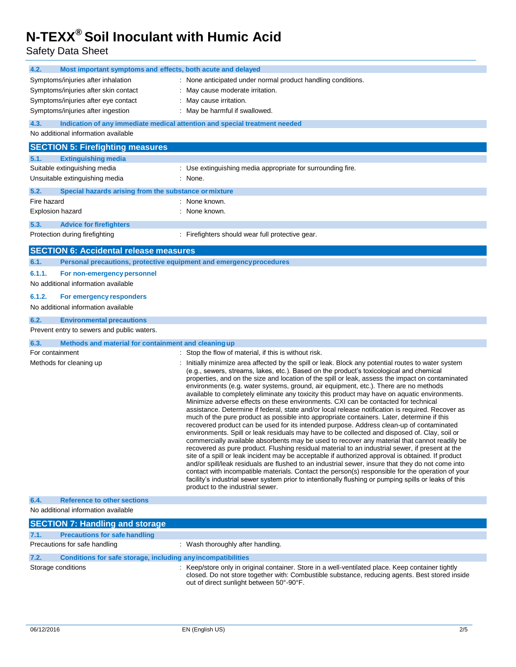Safety Data Sheet

| 4.2.<br>Most important symptoms and effects, both acute and delayed                |                                                                                                                                                                                                                                                                                                                                                                                                                                                                                                                                                                                                                                                                                                                                                                                                                                                                                                                                                                                                                                                                                                                                                                                                                                                                                                                                                                                                                                                                                                                                                                                                                                                 |
|------------------------------------------------------------------------------------|-------------------------------------------------------------------------------------------------------------------------------------------------------------------------------------------------------------------------------------------------------------------------------------------------------------------------------------------------------------------------------------------------------------------------------------------------------------------------------------------------------------------------------------------------------------------------------------------------------------------------------------------------------------------------------------------------------------------------------------------------------------------------------------------------------------------------------------------------------------------------------------------------------------------------------------------------------------------------------------------------------------------------------------------------------------------------------------------------------------------------------------------------------------------------------------------------------------------------------------------------------------------------------------------------------------------------------------------------------------------------------------------------------------------------------------------------------------------------------------------------------------------------------------------------------------------------------------------------------------------------------------------------|
| Symptoms/injuries after inhalation                                                 | : None anticipated under normal product handling conditions.                                                                                                                                                                                                                                                                                                                                                                                                                                                                                                                                                                                                                                                                                                                                                                                                                                                                                                                                                                                                                                                                                                                                                                                                                                                                                                                                                                                                                                                                                                                                                                                    |
| Symptoms/injuries after skin contact                                               | May cause moderate irritation.                                                                                                                                                                                                                                                                                                                                                                                                                                                                                                                                                                                                                                                                                                                                                                                                                                                                                                                                                                                                                                                                                                                                                                                                                                                                                                                                                                                                                                                                                                                                                                                                                  |
| Symptoms/injuries after eye contact                                                | May cause irritation.                                                                                                                                                                                                                                                                                                                                                                                                                                                                                                                                                                                                                                                                                                                                                                                                                                                                                                                                                                                                                                                                                                                                                                                                                                                                                                                                                                                                                                                                                                                                                                                                                           |
| Symptoms/injuries after ingestion                                                  | : May be harmful if swallowed.                                                                                                                                                                                                                                                                                                                                                                                                                                                                                                                                                                                                                                                                                                                                                                                                                                                                                                                                                                                                                                                                                                                                                                                                                                                                                                                                                                                                                                                                                                                                                                                                                  |
| 4.3.<br>Indication of any immediate medical attention and special treatment needed |                                                                                                                                                                                                                                                                                                                                                                                                                                                                                                                                                                                                                                                                                                                                                                                                                                                                                                                                                                                                                                                                                                                                                                                                                                                                                                                                                                                                                                                                                                                                                                                                                                                 |
| No additional information available                                                |                                                                                                                                                                                                                                                                                                                                                                                                                                                                                                                                                                                                                                                                                                                                                                                                                                                                                                                                                                                                                                                                                                                                                                                                                                                                                                                                                                                                                                                                                                                                                                                                                                                 |
| <b>SECTION 5: Firefighting measures</b>                                            |                                                                                                                                                                                                                                                                                                                                                                                                                                                                                                                                                                                                                                                                                                                                                                                                                                                                                                                                                                                                                                                                                                                                                                                                                                                                                                                                                                                                                                                                                                                                                                                                                                                 |
| 5.1.<br><b>Extinguishing media</b>                                                 |                                                                                                                                                                                                                                                                                                                                                                                                                                                                                                                                                                                                                                                                                                                                                                                                                                                                                                                                                                                                                                                                                                                                                                                                                                                                                                                                                                                                                                                                                                                                                                                                                                                 |
| Suitable extinguishing media                                                       | : Use extinguishing media appropriate for surrounding fire.                                                                                                                                                                                                                                                                                                                                                                                                                                                                                                                                                                                                                                                                                                                                                                                                                                                                                                                                                                                                                                                                                                                                                                                                                                                                                                                                                                                                                                                                                                                                                                                     |
| Unsuitable extinguishing media                                                     | : None.                                                                                                                                                                                                                                                                                                                                                                                                                                                                                                                                                                                                                                                                                                                                                                                                                                                                                                                                                                                                                                                                                                                                                                                                                                                                                                                                                                                                                                                                                                                                                                                                                                         |
| 5.2.<br>Special hazards arising from the substance or mixture                      |                                                                                                                                                                                                                                                                                                                                                                                                                                                                                                                                                                                                                                                                                                                                                                                                                                                                                                                                                                                                                                                                                                                                                                                                                                                                                                                                                                                                                                                                                                                                                                                                                                                 |
| Fire hazard                                                                        | : None known.                                                                                                                                                                                                                                                                                                                                                                                                                                                                                                                                                                                                                                                                                                                                                                                                                                                                                                                                                                                                                                                                                                                                                                                                                                                                                                                                                                                                                                                                                                                                                                                                                                   |
| <b>Explosion hazard</b>                                                            | : None known.                                                                                                                                                                                                                                                                                                                                                                                                                                                                                                                                                                                                                                                                                                                                                                                                                                                                                                                                                                                                                                                                                                                                                                                                                                                                                                                                                                                                                                                                                                                                                                                                                                   |
| 5.3.<br><b>Advice for firefighters</b>                                             |                                                                                                                                                                                                                                                                                                                                                                                                                                                                                                                                                                                                                                                                                                                                                                                                                                                                                                                                                                                                                                                                                                                                                                                                                                                                                                                                                                                                                                                                                                                                                                                                                                                 |
| Protection during firefighting                                                     | : Firefighters should wear full protective gear.                                                                                                                                                                                                                                                                                                                                                                                                                                                                                                                                                                                                                                                                                                                                                                                                                                                                                                                                                                                                                                                                                                                                                                                                                                                                                                                                                                                                                                                                                                                                                                                                |
| <b>SECTION 6: Accidental release measures</b>                                      |                                                                                                                                                                                                                                                                                                                                                                                                                                                                                                                                                                                                                                                                                                                                                                                                                                                                                                                                                                                                                                                                                                                                                                                                                                                                                                                                                                                                                                                                                                                                                                                                                                                 |
| 6.1.<br>Personal precautions, protective equipment and emergencyprocedures         |                                                                                                                                                                                                                                                                                                                                                                                                                                                                                                                                                                                                                                                                                                                                                                                                                                                                                                                                                                                                                                                                                                                                                                                                                                                                                                                                                                                                                                                                                                                                                                                                                                                 |
| 6.1.1.<br>For non-emergency personnel                                              |                                                                                                                                                                                                                                                                                                                                                                                                                                                                                                                                                                                                                                                                                                                                                                                                                                                                                                                                                                                                                                                                                                                                                                                                                                                                                                                                                                                                                                                                                                                                                                                                                                                 |
| No additional information available                                                |                                                                                                                                                                                                                                                                                                                                                                                                                                                                                                                                                                                                                                                                                                                                                                                                                                                                                                                                                                                                                                                                                                                                                                                                                                                                                                                                                                                                                                                                                                                                                                                                                                                 |
|                                                                                    |                                                                                                                                                                                                                                                                                                                                                                                                                                                                                                                                                                                                                                                                                                                                                                                                                                                                                                                                                                                                                                                                                                                                                                                                                                                                                                                                                                                                                                                                                                                                                                                                                                                 |
| 6.1.2.<br>For emergency responders                                                 |                                                                                                                                                                                                                                                                                                                                                                                                                                                                                                                                                                                                                                                                                                                                                                                                                                                                                                                                                                                                                                                                                                                                                                                                                                                                                                                                                                                                                                                                                                                                                                                                                                                 |
| No additional information available                                                |                                                                                                                                                                                                                                                                                                                                                                                                                                                                                                                                                                                                                                                                                                                                                                                                                                                                                                                                                                                                                                                                                                                                                                                                                                                                                                                                                                                                                                                                                                                                                                                                                                                 |
| 6.2.<br><b>Environmental precautions</b>                                           |                                                                                                                                                                                                                                                                                                                                                                                                                                                                                                                                                                                                                                                                                                                                                                                                                                                                                                                                                                                                                                                                                                                                                                                                                                                                                                                                                                                                                                                                                                                                                                                                                                                 |
| Prevent entry to sewers and public waters.                                         |                                                                                                                                                                                                                                                                                                                                                                                                                                                                                                                                                                                                                                                                                                                                                                                                                                                                                                                                                                                                                                                                                                                                                                                                                                                                                                                                                                                                                                                                                                                                                                                                                                                 |
| 6.3.<br>Methods and material for containment and cleaning up                       |                                                                                                                                                                                                                                                                                                                                                                                                                                                                                                                                                                                                                                                                                                                                                                                                                                                                                                                                                                                                                                                                                                                                                                                                                                                                                                                                                                                                                                                                                                                                                                                                                                                 |
| For containment                                                                    | : Stop the flow of material, if this is without risk.                                                                                                                                                                                                                                                                                                                                                                                                                                                                                                                                                                                                                                                                                                                                                                                                                                                                                                                                                                                                                                                                                                                                                                                                                                                                                                                                                                                                                                                                                                                                                                                           |
| Methods for cleaning up                                                            | : Initially minimize area affected by the spill or leak. Block any potential routes to water system<br>(e.g., sewers, streams, lakes, etc.). Based on the product's toxicological and chemical<br>properties, and on the size and location of the spill or leak, assess the impact on contaminated<br>environments (e.g. water systems, ground, air equipment, etc.). There are no methods<br>available to completely eliminate any toxicity this product may have on aquatic environments.<br>Minimize adverse effects on these environments. CXI can be contacted for technical<br>assistance. Determine if federal, state and/or local release notification is required. Recover as<br>much of the pure product as possible into appropriate containers. Later, determine if this<br>recovered product can be used for its intended purpose. Address clean-up of contaminated<br>environments. Spill or leak residuals may have to be collected and disposed of. Clay, soil or<br>commercially available absorbents may be used to recover any material that cannot readily be<br>recovered as pure product. Flushing residual material to an industrial sewer, if present at the<br>site of a spill or leak incident may be acceptable if authorized approval is obtained. If product<br>and/or spill/leak residuals are flushed to an industrial sewer, insure that they do not come into<br>contact with incompatible materials. Contact the person(s) responsible for the operation of your<br>facility's industrial sewer system prior to intentionally flushing or pumping spills or leaks of this<br>product to the industrial sewer. |
| 6.4.<br><b>Reference to other sections</b><br>No additional information available  |                                                                                                                                                                                                                                                                                                                                                                                                                                                                                                                                                                                                                                                                                                                                                                                                                                                                                                                                                                                                                                                                                                                                                                                                                                                                                                                                                                                                                                                                                                                                                                                                                                                 |
| <b>SECTION 7: Handling and storage</b>                                             |                                                                                                                                                                                                                                                                                                                                                                                                                                                                                                                                                                                                                                                                                                                                                                                                                                                                                                                                                                                                                                                                                                                                                                                                                                                                                                                                                                                                                                                                                                                                                                                                                                                 |
| 7.1.<br><b>Precautions for safe handling</b>                                       |                                                                                                                                                                                                                                                                                                                                                                                                                                                                                                                                                                                                                                                                                                                                                                                                                                                                                                                                                                                                                                                                                                                                                                                                                                                                                                                                                                                                                                                                                                                                                                                                                                                 |
| Precautions for safe handling                                                      | : Wash thoroughly after handling.                                                                                                                                                                                                                                                                                                                                                                                                                                                                                                                                                                                                                                                                                                                                                                                                                                                                                                                                                                                                                                                                                                                                                                                                                                                                                                                                                                                                                                                                                                                                                                                                               |
| 7.2.<br>Conditions for safe storage, including any incompatibilities               |                                                                                                                                                                                                                                                                                                                                                                                                                                                                                                                                                                                                                                                                                                                                                                                                                                                                                                                                                                                                                                                                                                                                                                                                                                                                                                                                                                                                                                                                                                                                                                                                                                                 |
| Storage conditions                                                                 | : Keep/store only in original container. Store in a well-ventilated place. Keep container tightly<br>closed. Do not store together with: Combustible substance, reducing agents. Best stored inside<br>out of direct sunlight between 50°-90°F.                                                                                                                                                                                                                                                                                                                                                                                                                                                                                                                                                                                                                                                                                                                                                                                                                                                                                                                                                                                                                                                                                                                                                                                                                                                                                                                                                                                                 |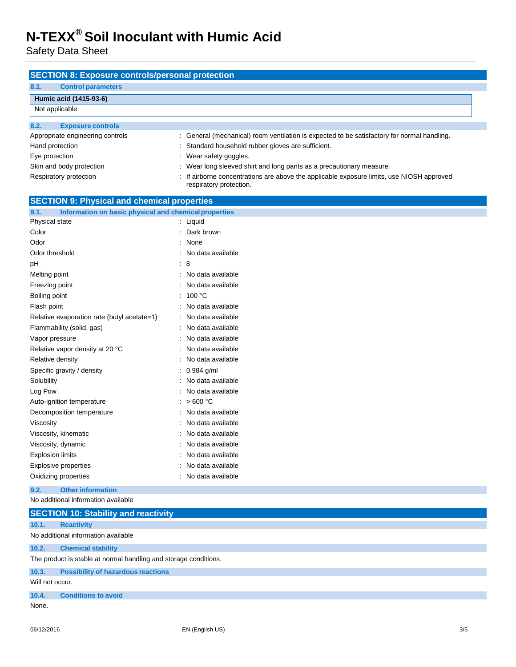Safety Data Sheet

| <b>SECTION 8: Exposure controls/personal protection</b><br>8.1.<br><b>Control parameters</b> |                                                                                                                    |  |
|----------------------------------------------------------------------------------------------|--------------------------------------------------------------------------------------------------------------------|--|
|                                                                                              |                                                                                                                    |  |
| Humic acid (1415-93-6)<br>Not applicable                                                     |                                                                                                                    |  |
|                                                                                              |                                                                                                                    |  |
| 8.2.<br><b>Exposure controls</b>                                                             |                                                                                                                    |  |
| Appropriate engineering controls                                                             | : General (mechanical) room ventilation is expected to be satisfactory for normal handling.                        |  |
| Hand protection                                                                              | Standard household rubber gloves are sufficient.                                                                   |  |
| Eye protection                                                                               | Wear safety goggles.                                                                                               |  |
| Skin and body protection                                                                     | : Wear long sleeved shirt and long pants as a precautionary measure.                                               |  |
| Respiratory protection                                                                       | If airborne concentrations are above the applicable exposure limits, use NIOSH approved<br>respiratory protection. |  |
| <b>SECTION 9: Physical and chemical properties</b>                                           |                                                                                                                    |  |
| 9.1.<br>Information on basic physical and chemical properties                                |                                                                                                                    |  |
| Physical state                                                                               | : Liquid                                                                                                           |  |
| Color                                                                                        | : Dark brown                                                                                                       |  |
| Odor                                                                                         | : None                                                                                                             |  |
| Odor threshold                                                                               | : No data available                                                                                                |  |
| pH                                                                                           | : 8                                                                                                                |  |
| Melting point                                                                                | : No data available                                                                                                |  |
| Freezing point                                                                               | No data available                                                                                                  |  |
| Boiling point                                                                                | : $100 °C$                                                                                                         |  |
| Flash point                                                                                  | : No data available                                                                                                |  |
| Relative evaporation rate (butyl acetate=1)                                                  | : No data available                                                                                                |  |
| Flammability (solid, gas)                                                                    | : No data available                                                                                                |  |
| Vapor pressure                                                                               | : No data available                                                                                                |  |
| Relative vapor density at 20 °C                                                              | : No data available                                                                                                |  |
| Relative density                                                                             | : No data available                                                                                                |  |
| Specific gravity / density                                                                   | : 0.984 g/ml                                                                                                       |  |
| Solubility                                                                                   | : No data available                                                                                                |  |
| Log Pow                                                                                      | : No data available                                                                                                |  |
| Auto-ignition temperature                                                                    | : $>600 °C$                                                                                                        |  |
| Decomposition temperature                                                                    | : No data available                                                                                                |  |
| Viscosity                                                                                    | : No data available                                                                                                |  |
| Viscosity, kinematic                                                                         | No data available                                                                                                  |  |
| Viscosity, dynamic                                                                           | : No data available                                                                                                |  |
| <b>Explosion limits</b>                                                                      | : No data available                                                                                                |  |
| <b>Explosive properties</b>                                                                  | : No data available                                                                                                |  |
| Oxidizing properties                                                                         | : No data available                                                                                                |  |
| 9.2.<br><b>Other information</b>                                                             |                                                                                                                    |  |
| No additional information available                                                          |                                                                                                                    |  |
| <b>SECTION 10: Stability and reactivity</b>                                                  |                                                                                                                    |  |
| 10.1.<br><b>Reactivity</b>                                                                   |                                                                                                                    |  |
| No additional information available                                                          |                                                                                                                    |  |
| 10.2.<br><b>Chemical stability</b>                                                           |                                                                                                                    |  |
| The product is stable at normal handling and storage conditions.                             |                                                                                                                    |  |
| 10.3.<br><b>Possibility of hazardous reactions</b>                                           |                                                                                                                    |  |
| Will not occur.                                                                              |                                                                                                                    |  |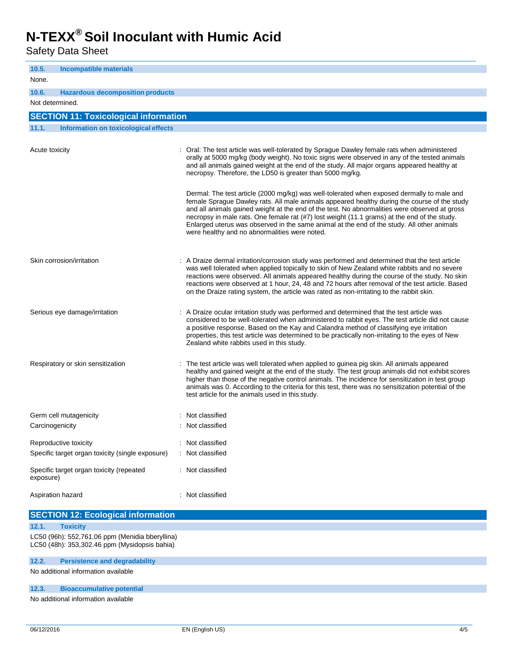Safety Data Sheet

| 10.5.<br><b>Incompatible materials</b><br>None.       |                                                                                                                                                                                                                                                                                                                                                                                                                                                                                                                                            |
|-------------------------------------------------------|--------------------------------------------------------------------------------------------------------------------------------------------------------------------------------------------------------------------------------------------------------------------------------------------------------------------------------------------------------------------------------------------------------------------------------------------------------------------------------------------------------------------------------------------|
| 10.6.<br><b>Hazardous decomposition products</b>      |                                                                                                                                                                                                                                                                                                                                                                                                                                                                                                                                            |
| Not determined.                                       |                                                                                                                                                                                                                                                                                                                                                                                                                                                                                                                                            |
| <b>SECTION 11: Toxicological information</b>          |                                                                                                                                                                                                                                                                                                                                                                                                                                                                                                                                            |
| 11.1.<br>Information on toxicological effects         |                                                                                                                                                                                                                                                                                                                                                                                                                                                                                                                                            |
| Acute toxicity                                        | : Oral: The test article was well-tolerated by Sprague Dawley female rats when administered<br>orally at 5000 mg/kg (body weight). No toxic signs were observed in any of the tested animals<br>and all animals gained weight at the end of the study. All major organs appeared healthy at<br>necropsy. Therefore, the LD50 is greater than 5000 mg/kg.                                                                                                                                                                                   |
|                                                       | Dermal: The test article (2000 mg/kg) was well-tolerated when exposed dermally to male and<br>female Sprague Dawley rats. All male animals appeared healthy during the course of the study<br>and all animals gained weight at the end of the test. No abnormalities were observed at gross<br>necropsy in male rats. One female rat (#7) lost weight (11.1 grams) at the end of the study.<br>Enlarged uterus was observed in the same animal at the end of the study. All other animals<br>were healthy and no abnormalities were noted. |
| Skin corrosion/irritation                             | : A Draize dermal irritation/corrosion study was performed and determined that the test article<br>was well tolerated when applied topically to skin of New Zealand white rabbits and no severe<br>reactions were observed. All animals appeared healthy during the course of the study. No skin<br>reactions were observed at 1 hour, 24, 48 and 72 hours after removal of the test article. Based<br>on the Draize rating system, the article was rated as non-irritating to the rabbit skin.                                            |
| Serious eye damage/irritation                         | : A Draize ocular irritation study was performed and determined that the test article was<br>considered to be well-tolerated when administered to rabbit eyes. The test article did not cause<br>a positive response. Based on the Kay and Calandra method of classifying eye irritation<br>properties, this test article was determined to be practically non-irritating to the eyes of New<br>Zealand white rabbits used in this study.                                                                                                  |
| Respiratory or skin sensitization                     | The test article was well tolerated when applied to guinea pig skin. All animals appeared<br>healthy and gained weight at the end of the study. The test group animals did not exhibit scores<br>higher than those of the negative control animals. The incidence for sensitization in test group<br>animals was 0. According to the criteria for this test, there was no sensitization potential of the<br>test article for the animals used in this study.                                                                               |
| Germ cell mutagenicity                                | : Not classified                                                                                                                                                                                                                                                                                                                                                                                                                                                                                                                           |
| Carcinogenicity                                       | : Not classified                                                                                                                                                                                                                                                                                                                                                                                                                                                                                                                           |
|                                                       |                                                                                                                                                                                                                                                                                                                                                                                                                                                                                                                                            |
| Reproductive toxicity                                 | : Not classified                                                                                                                                                                                                                                                                                                                                                                                                                                                                                                                           |
| Specific target organ toxicity (single exposure)      | : Not classified                                                                                                                                                                                                                                                                                                                                                                                                                                                                                                                           |
| Specific target organ toxicity (repeated<br>exposure) | : Not classified                                                                                                                                                                                                                                                                                                                                                                                                                                                                                                                           |
| Aspiration hazard                                     | : Not classified                                                                                                                                                                                                                                                                                                                                                                                                                                                                                                                           |

|       | <b>SECTION 12: Ecological information</b>                                                        |
|-------|--------------------------------------------------------------------------------------------------|
| 12.1. | <b>Toxicity</b>                                                                                  |
|       | LC50 (96h): 552,761.06 ppm (Menidia bberyllina)<br>LC50 (48h): 353,302.46 ppm (Mysidopsis bahia) |
| 12.2. | <b>Persistence and degradability</b>                                                             |
|       | No additional information available                                                              |
| 12.3. | <b>Bioaccumulative potential</b>                                                                 |
|       | No additional information available                                                              |